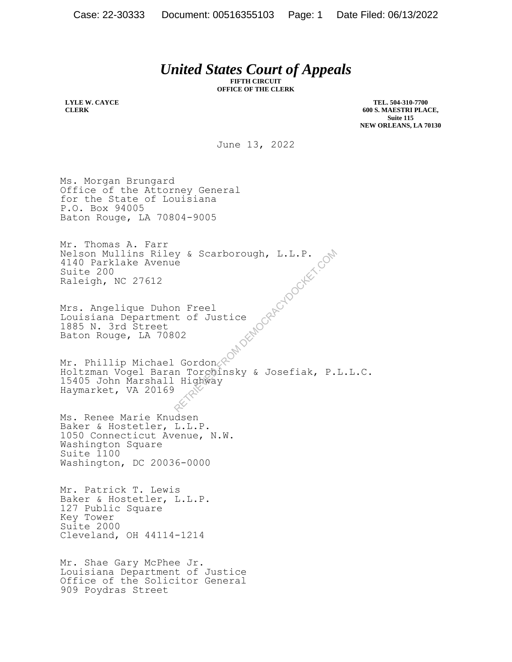## *United States Court of Appeals*

**FIFTH CIRCUIT OFFICE OF THE CLERK**

**LYLE W. CAYCE CLERK**

**TEL. 504-310-7700 600 S. MAESTRI PLACE, Suite 115 NEW ORLEANS, LA 70130**

June 13, 2022

Ms. Morgan Brungard Office of the Attorney General for the State of Louisiana P.O. Box 94005 Baton Rouge, LA 70804-9005

Mr. Thomas A. Farr Nelson Mullins Riley & Scarborough, L.L.P. 4140 Parklake Avenue Suite 200 Raleigh, NC 27612

Mrs. Angelique Duhon Freel Louisiana Department of Justice 1885 N. 3rd Street Baton Rouge, LA 70802

Mr. Phillip Michael Gordon Holtzman Vogel Baran Torchinsky & Josefiak, P.L.L.C. 15405 John Marshall Highway Haymarket, VA 20169 y & Scarborough, L.L.P.<br>
e<br>
n Freel<br>
t of Justice<br>
02<br>
Gordon &<br>
n Torchinsky & Josefiak, P.<br>
Highway<br>
Righway

Ms. Renee Marie Knudsen Baker & Hostetler, L.L.P. Baker & Hostetler, L.L.P.<br>1050 Connecticut Avenue, N.W. Washington Square Suite 1100 Washington, DC 20036-0000

Mr. Patrick T. Lewis Baker & Hostetler, L.L.P. 127 Public Square Key Tower Suite 2000 Cleveland, OH 44114-1214

Mr. Shae Gary McPhee Jr. Louisiana Department of Justice Office of the Solicitor General 909 Poydras Street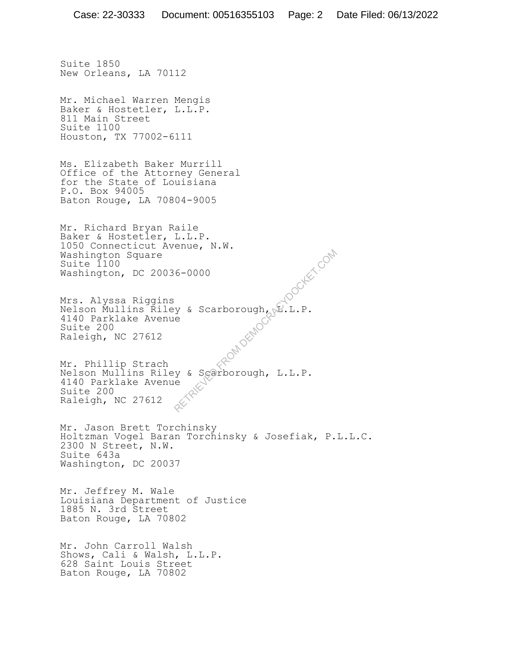Suite 1850 New Orleans, LA 70112 Mr. Michael Warren Mengis Baker & Hostetler, L.L.P. 811 Main Street Suite 1100 Houston, TX 77002-6111 Ms. Elizabeth Baker Murrill Office of the Attorney General for the State of Louisiana P.O. Box 94005 Baton Rouge, LA 70804-9005 Mr. Richard Bryan Raile Baker & Hostetler, L.L.P. 1050 Connecticut Avenue, N.W. Washington Square Suite 1100 Washington, DC 20036-0000 Mrs. Alyssa Riggins Nelson Mullins Riley & Scarborough, D.L.P.<br>4140 Parklake Avenue<br>Suite 200<br>Raleigh, NC 27612 4140 Parklake Avenue Suite 200 Raleigh, NC 27612 Mr. Phillip Strach Nelson Mullins Riley & Scarborough, L.L.P. 4140 Parklake Avenue Suite 200 Raleigh, NC 27612 Mr. Jason Brett Torchinsky Holtzman Vogel Baran Torchinsky & Josefiak, P.L.L.C. 2300 N Street, N.W. Suite 643a Washington, DC 20037 Mr. Jeffrey M. Wale Louisiana Department of Justice 1885 N. 3rd Street Baton Rouge, LA 70802 Mr. John Carroll Walsh Shows, Cali & Walsh, L.L.P. 628 Saint Louis Street Baton Rouge, LA 70802 **HOOCKET.COM**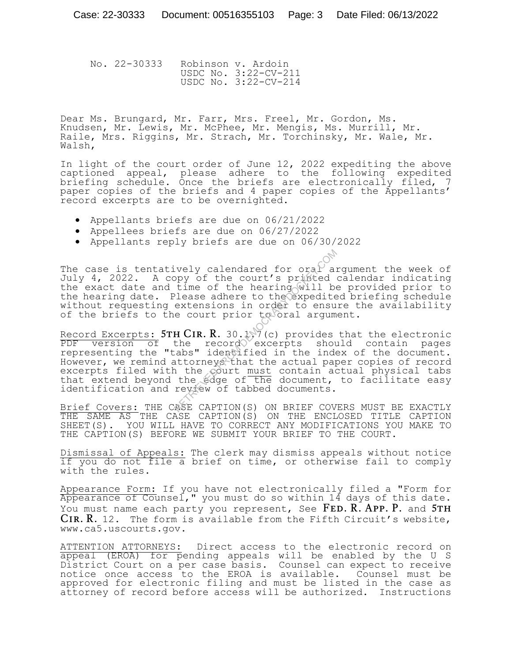No. 22-30333 Robinson v. Ardoin USDC No. 3:22-CV-211 USDC No. 3:22-CV-214

Dear Ms. Brungard, Mr. Farr, Mrs. Freel, Mr. Gordon, Ms. Knudsen, Mr. Lewis, Mr. McPhee, Mr. Mengis, Ms. Murrill, Mr. Raile, Mrs. Riggins, Mr. Strach, Mr. Torchinsky, Mr. Wale, Mr. Walsh,

In light of the court order of June 12, 2022 expediting the above captioned appeal, please adhere to the following expedited briefing schedule. Once the briefs are electronically filed, 7 paper copies of the briefs and 4 paper copies of the Appellants' record excerpts are to be overnighted.

- Appellants briefs are due on 06/21/2022
- Appellees briefs are due on 06/27/2022
- Appellants reply briefs are due on 06/30/2022

The case is tentatively calendared for oral argument the week of July 4, 2022. A copy of the court's printed calendar indicating the exact date and time of the hearing will be provided prior to the hearing date. Please adhere to the expedited briefing schedule without requesting extensions in order to ensure the availability of the briefs to the court prior to oral argument.

Record Excerpts:  $5TH CIR. R. 30.1$ . (c) provides that the electronic PDF version of the record excerpts should contain pages representing the "tabs" identified in the index of the document. However, we remind attorneys that the actual paper copies of record excerpts filed with the court must contain actual physical tabs that extend beyond the edge of the document, to facilitate easy identification and review of tabbed documents. vely calendared for oral appy of the court's printed<br>time of the hearing will be<br>lease adhere to the expedite<br>extensions in order to ensu<br>e court prior to oral argum<br>H CIR.R. 30.1.7 (c) provides<br>the record excerpts shou<br>ab

Brief Covers: THE CASE CAPTION(S) ON BRIEF COVERS MUST BE EXACTLY THE SAME AS THE CASE CAPTION(S) ON THE ENCLOSED TITLE CAPTION SHEET(S). YOU WILL HAVE TO CORRECT ANY MODIFICATIONS YOU MAKE TO THE CAPTION(S) BEFORE WE SUBMIT YOUR BRIEF TO THE COURT.

Dismissal of Appeals: The clerk may dismiss appeals without notice if you do not file a brief on time, or otherwise fail to comply with the rules.

Appearance Form: If you have not electronically filed a "Form for Appearance of Counsel," you must do so within 14 days of this date. You must name each party you represent, See FED. R. APP. P. and 5TH  $CIR. R. 12.$  The form is available from the Fifth Circuit's website, www.ca5.uscourts.gov.

ATTENTION ATTORNEYS: Direct access to the electronic record on appeal (EROA) for pending appeals will be enabled by the U S District Court on a per case basis. Counsel can expect to receive notice once access to the EROA is available. Counsel must be approved for electronic filing and must be listed in the case as attorney of record before access will be authorized. Instructions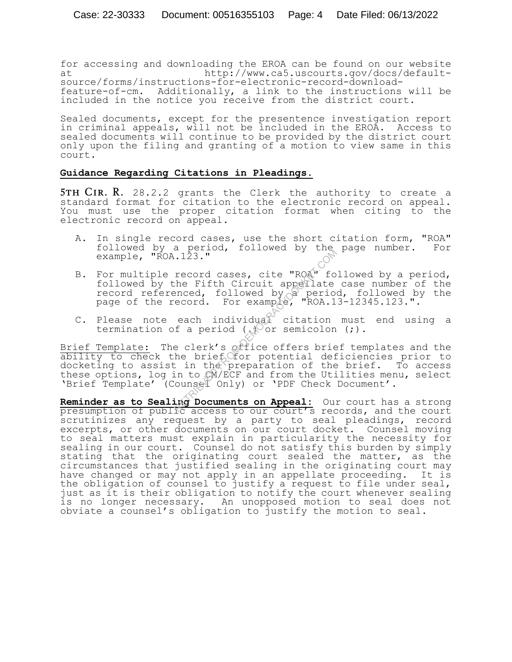for accessing and downloading the EROA can be found on our website at http://www.ca5.uscourts.gov/docs/default-

source/forms/instructions-for-electronic-record-downloadfeature-of-cm. Additionally, a link to the instructions will be included in the notice you receive from the district court.

Sealed documents, except for the presentence investigation report in criminal appeals, will not be included in the EROA. Access to sealed documents will continue to be provided by the district court only upon the filing and granting of a motion to view same in this court.

## **Guidance Regarding Citations in Pleadings.**

**5TH CIR. R.** 28.2.2 grants the Clerk the authority to create a standard format for citation to the electronic record on appeal. You must use the proper citation format when citing to the electronic record on appeal.

- A. In single record cases, use the short citation form, "ROA" followed by a period, followed by the page number. For example, "ROA.123."
- B. For multiple record cases, cite "ROA" followed by a period, followed by the Fifth Circuit appellate case number of the record referenced, followed by a period, followed by the page of the record. For example, " $ROA.13-12345.123.$ ".
- C. Please note each individual citation must end using a termination of a period ( $\sqrt{2}$  or semicolon (;).

Brief Template: The clerk's office offers brief templates and the ability to check the brief for potential deficiencies prior to docketing to assist in the preparation of the brief. To access these options, log in to CM/ECF and from the Utilities menu, select 'Brief Template' (Counsel Only) or 'PDF Check Document'. Record cases, cite "ROA" for the Fifth Circuit appellate<br>enced, followed by a periotecord. For example, "ROA.1<br>each individual citation<br>f a period (Vor semicolon<br>e clerk's office offers brie<br>he brief offer potential def<br>in

**Reminder as to Sealing Documents on Appeal:** Our court has a strong presumption of public access to our court's records, and the court scrutinizes any request by a party to seal pleadings, record excerpts, or other documents on our court docket. Counsel moving to seal matters must explain in particularity the necessity for sealing in our court. Counsel do not satisfy this burden by simply stating that the originating court sealed the matter, as the circumstances that justified sealing in the originating court may have changed or may not apply in an appellate proceeding. It is the obligation of counsel to justify a request to file under seal, just as it is their obligation to notify the court whenever sealing is no longer necessary. An unopposed motion to seal does not obviate a counsel's obligation to justify the motion to seal.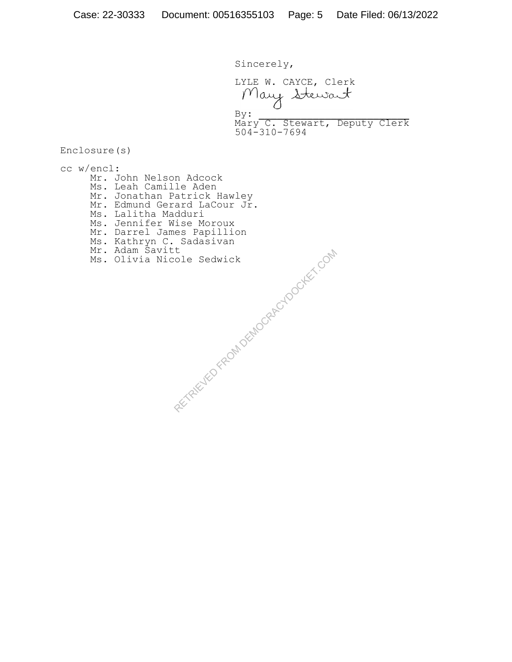Sincerely,

LYLE W. CAYCE, Clerk Mary Stewart  $By:$ Mary C. Stewart, Deputy Clerk 504-310-7694

Enclosure(s)

cc w/encl: Mr. John Nelson Adcock Ms. Leah Camille Aden Mr. Jonathan Patrick Hawley Mr. Edmund Gerard LaCour Jr. Ms. Lalitha Madduri Ms. Jennifer Wise Moroux Mr. Darrel James Papillion Ms. Kathryn C. Sadasivan Mr. Adam Savitt Ms. Olivia Nicole Sedwick

RECTAIRD FROM DEMOCRACYDOCKET.COM